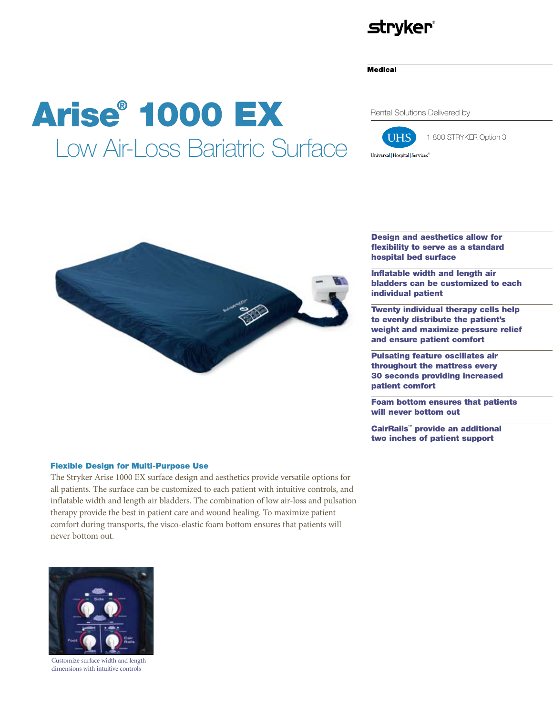## **stryker®**

#### **Medical**

# Arise® 1000 EX Low Air-Loss Bariatric Surface

Rental Solutions Delivered by



1 800 STRYKER Option 3



## Flexible Design for Multi-Purpose Use

The Stryker Arise 1000 EX surface design and aesthetics provide versatile options for all patients. The surface can be customized to each patient with intuitive controls, and inflatable width and length air bladders. The combination of low air-loss and pulsation therapy provide the best in patient care and wound healing. To maximize patient comfort during transports, the visco-elastic foam bottom ensures that patients will never bottom out.



Customize surface width and length dimensions with intuitive controls

Design and aesthetics allow for flexibility to serve as a standard hospital bed surface

Inflatable width and length air bladders can be customized to each individual patient

Twenty individual therapy cells help to evenly distribute the patient's weight and maximize pressure relief and ensure patient comfort

Pulsating feature oscillates air throughout the mattress every 30 seconds providing increased patient comfort

Foam bottom ensures that patients will never bottom out

CairRails™ provide an additional two inches of patient support